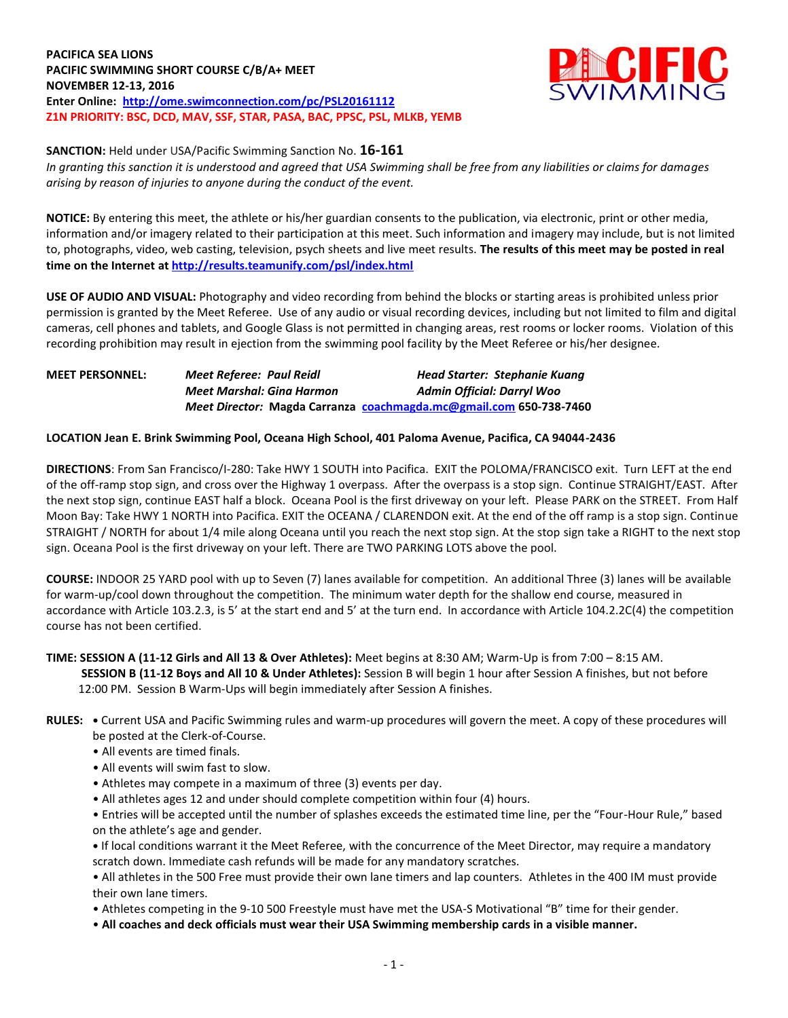**PACIFICA SEA LIONS PACIFIC SWIMMING SHORT COURSE C/B/A+ MEET NOVEMBER 12-13, 2016 Enter Online: <http://ome.swimconnection.com/pc/PSL20161112> Z1N PRIORITY: BSC, DCD, MAV, SSF, STAR, PASA, BAC, PPSC, PSL, MLKB, YEMB**



**SANCTION:** Held under USA/Pacific Swimming Sanction No. **16-161**

*In granting this sanction it is understood and agreed that USA Swimming shall be free from any liabilities or claims for damages arising by reason of injuries to anyone during the conduct of the event.*

**NOTICE:** By entering this meet, the athlete or his/her guardian consents to the publication, via electronic, print or other media, information and/or imagery related to their participation at this meet. Such information and imagery may include, but is not limited to, photographs, video, web casting, television, psych sheets and live meet results. **The results of this meet may be posted in real time on the Internet a[t http://results.teamunify.com/psl/index.html](http://results.teamunify.com/psl/index.html)**

**USE OF AUDIO AND VISUAL:** Photography and video recording from behind the blocks or starting areas is prohibited unless prior permission is granted by the Meet Referee. Use of any audio or visual recording devices, including but not limited to film and digital cameras, cell phones and tablets, and Google Glass is not permitted in changing areas, rest rooms or locker rooms. Violation of this recording prohibition may result in ejection from the swimming pool facility by the Meet Referee or his/her designee.

# **MEET PERSONNEL:** *Meet Referee: Paul Reidl Head Starter: Stephanie Kuang Meet Marshal: Gina Harmon Admin Official: Darryl Woo Meet Director:* **Magda Carranza [coachmagda.mc@gmail.com](mailto:coachmagda.mc@gmail.com) 650-738-7460**

# **LOCATION Jean E. Brink Swimming Pool, Oceana High School, 401 Paloma Avenue, Pacifica, CA 94044-2436**

**DIRECTIONS**: From San Francisco/I-280: Take HWY 1 SOUTH into Pacifica. EXIT the POLOMA/FRANCISCO exit. Turn LEFT at the end of the off-ramp stop sign, and cross over the Highway 1 overpass. After the overpass is a stop sign. Continue STRAIGHT/EAST. After the next stop sign, continue EAST half a block. Oceana Pool is the first driveway on your left. Please PARK on the STREET. From Half Moon Bay: Take HWY 1 NORTH into Pacifica. EXIT the OCEANA / CLARENDON exit. At the end of the off ramp is a stop sign. Continue STRAIGHT / NORTH for about 1/4 mile along Oceana until you reach the next stop sign. At the stop sign take a RIGHT to the next stop sign. Oceana Pool is the first driveway on your left. There are TWO PARKING LOTS above the pool.

**COURSE:** INDOOR 25 YARD pool with up to Seven (7) lanes available for competition. An additional Three (3) lanes will be available for warm-up/cool down throughout the competition. The minimum water depth for the shallow end course, measured in accordance with Article 103.2.3, is 5' at the start end and 5' at the turn end. In accordance with Article 104.2.2C(4) the competition course has not been certified.

### **TIME: SESSION A (11-12 Girls and All 13 & Over Athletes):** Meet begins at 8:30 AM; Warm-Up is from 7:00 – 8:15 AM.

 **SESSION B (11-12 Boys and All 10 & Under Athletes):** Session B will begin 1 hour after Session A finishes, but not before 12:00 PM. Session B Warm-Ups will begin immediately after Session A finishes.

- **RULES: •** Current USA and Pacific Swimming rules and warm-up procedures will govern the meet. A copy of these procedures will be posted at the Clerk-of-Course.
	- All events are timed finals.
	- All events will swim fast to slow.
	- Athletes may compete in a maximum of three (3) events per day.
	- All athletes ages 12 and under should complete competition within four (4) hours.
	- Entries will be accepted until the number of splashes exceeds the estimated time line, per the "Four-Hour Rule," based on the athlete's age and gender.

**•** If local conditions warrant it the Meet Referee, with the concurrence of the Meet Director, may require a mandatory scratch down. Immediate cash refunds will be made for any mandatory scratches.

• All athletes in the 500 Free must provide their own lane timers and lap counters. Athletes in the 400 IM must provide their own lane timers.

• Athletes competing in the 9-10 500 Freestyle must have met the USA-S Motivational "B" time for their gender.

• **All coaches and deck officials must wear their USA Swimming membership cards in a visible manner.**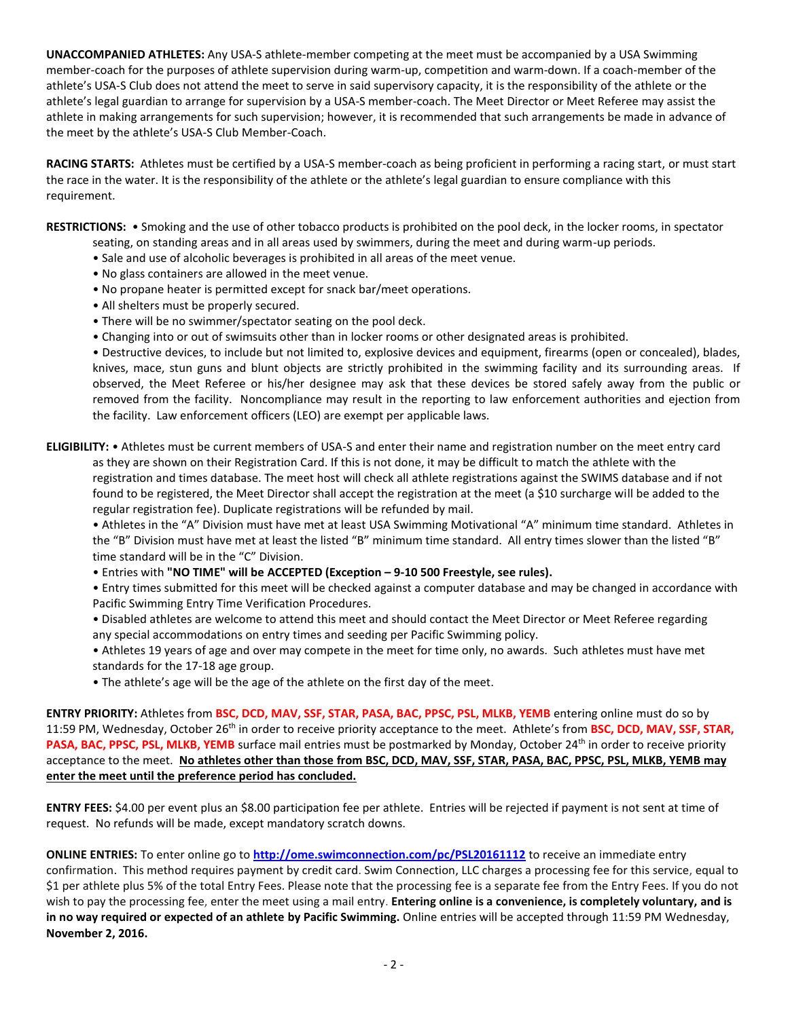**UNACCOMPANIED ATHLETES:** Any USA-S athlete-member competing at the meet must be accompanied by a USA Swimming member-coach for the purposes of athlete supervision during warm-up, competition and warm-down. If a coach-member of the athlete's USA-S Club does not attend the meet to serve in said supervisory capacity, it is the responsibility of the athlete or the athlete's legal guardian to arrange for supervision by a USA-S member-coach. The Meet Director or Meet Referee may assist the athlete in making arrangements for such supervision; however, it is recommended that such arrangements be made in advance of the meet by the athlete's USA-S Club Member-Coach.

**RACING STARTS:** Athletes must be certified by a USA-S member-coach as being proficient in performing a racing start, or must start the race in the water. It is the responsibility of the athlete or the athlete's legal guardian to ensure compliance with this requirement.

**RESTRICTIONS:** • Smoking and the use of other tobacco products is prohibited on the pool deck, in the locker rooms, in spectator

- seating, on standing areas and in all areas used by swimmers, during the meet and during warm-up periods. • Sale and use of alcoholic beverages is prohibited in all areas of the meet venue.
- No glass containers are allowed in the meet venue.
- No propane heater is permitted except for snack bar/meet operations.
- All shelters must be properly secured.
- There will be no swimmer/spectator seating on the pool deck.
- Changing into or out of swimsuits other than in locker rooms or other designated areas is prohibited.

• Destructive devices, to include but not limited to, explosive devices and equipment, firearms (open or concealed), blades, knives, mace, stun guns and blunt objects are strictly prohibited in the swimming facility and its surrounding areas. If observed, the Meet Referee or his/her designee may ask that these devices be stored safely away from the public or removed from the facility. Noncompliance may result in the reporting to law enforcement authorities and ejection from the facility. Law enforcement officers (LEO) are exempt per applicable laws.

**ELIGIBILITY:** • Athletes must be current members of USA-S and enter their name and registration number on the meet entry card as they are shown on their Registration Card. If this is not done, it may be difficult to match the athlete with the registration and times database. The meet host will check all athlete registrations against the SWIMS database and if not

found to be registered, the Meet Director shall accept the registration at the meet (a \$10 surcharge will be added to the regular registration fee). Duplicate registrations will be refunded by mail.

• Athletes in the "A" Division must have met at least USA Swimming Motivational "A" minimum time standard. Athletes in the "B" Division must have met at least the listed "B" minimum time standard. All entry times slower than the listed "B" time standard will be in the "C" Division.

• Entries with **"NO TIME" will be ACCEPTED (Exception – 9-10 500 Freestyle, see rules).**

• Entry times submitted for this meet will be checked against a computer database and may be changed in accordance with Pacific Swimming Entry Time Verification Procedures.

- Disabled athletes are welcome to attend this meet and should contact the Meet Director or Meet Referee regarding any special accommodations on entry times and seeding per Pacific Swimming policy.
- Athletes 19 years of age and over may compete in the meet for time only, no awards. Such athletes must have met standards for the 17-18 age group.
- The athlete's age will be the age of the athlete on the first day of the meet.

**ENTRY PRIORITY:** Athletes from **BSC, DCD, MAV, SSF, STAR, PASA, BAC, PPSC, PSL, MLKB, YEMB** entering online must do so by 11:59 PM, Wednesday, October 26th in order to receive priority acceptance to the meet. Athlete's from **BSC, DCD, MAV, SSF, STAR,**  PASA, BAC, PPSC, PSL, MLKB, YEMB surface mail entries must be postmarked by Monday, October 24<sup>th</sup> in order to receive priority acceptance to the meet. **No athletes other than those from BSC, DCD, MAV, SSF, STAR, PASA, BAC, PPSC, PSL, MLKB, YEMB may enter the meet until the preference period has concluded.**

**ENTRY FEES:** \$4.00 per event plus an \$8.00 participation fee per athlete. Entries will be rejected if payment is not sent at time of request. No refunds will be made, except mandatory scratch downs.

**ONLINE ENTRIES:** To enter online go to **<http://ome.swimconnection.com/pc/PSL20161112>** to receive an immediate entry confirmation. This method requires payment by credit card. Swim Connection, LLC charges a processing fee for this service, equal to \$1 per athlete plus 5% of the total Entry Fees. Please note that the processing fee is a separate fee from the Entry Fees. If you do not wish to pay the processing fee, enter the meet using a mail entry. **Entering online is a convenience, is completely voluntary, and is in no way required or expected of an athlete by Pacific Swimming.** Online entries will be accepted through 11:59 PM Wednesday, **November 2, 2016.**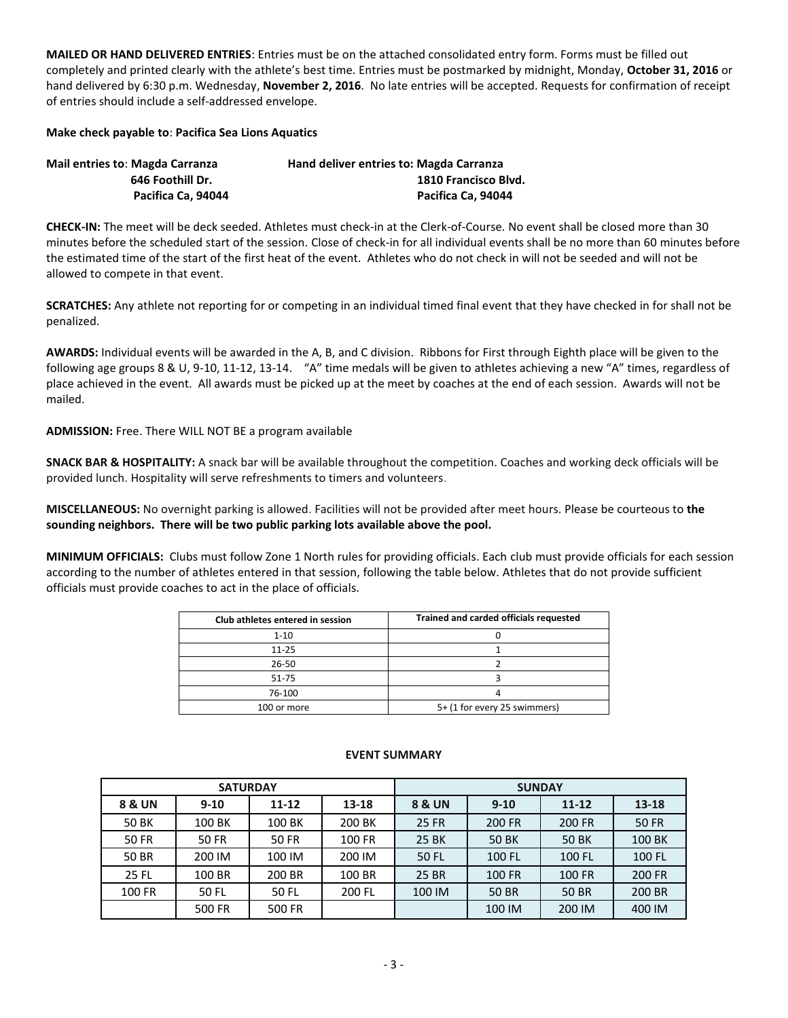**MAILED OR HAND DELIVERED ENTRIES**: Entries must be on the attached consolidated entry form. Forms must be filled out completely and printed clearly with the athlete's best time. Entries must be postmarked by midnight, Monday, **October 31, 2016** or hand delivered by 6:30 p.m. Wednesday, **November 2, 2016**. No late entries will be accepted. Requests for confirmation of receipt of entries should include a self-addressed envelope.

### **Make check payable to**: **Pacifica Sea Lions Aquatics**

| <b>Mail entries to: Magda Carranza</b> | Hand deliver entries to: Magda Carranza |  |  |  |  |  |
|----------------------------------------|-----------------------------------------|--|--|--|--|--|
| 646 Foothill Dr.                       | 1810 Francisco Blvd.                    |  |  |  |  |  |
| Pacifica Ca, 94044                     | Pacifica Ca. 94044                      |  |  |  |  |  |

**CHECK-IN:** The meet will be deck seeded. Athletes must check-in at the Clerk-of-Course. No event shall be closed more than 30 minutes before the scheduled start of the session. Close of check-in for all individual events shall be no more than 60 minutes before the estimated time of the start of the first heat of the event. Athletes who do not check in will not be seeded and will not be allowed to compete in that event.

**SCRATCHES:** Any athlete not reporting for or competing in an individual timed final event that they have checked in for shall not be penalized.

**AWARDS:** Individual events will be awarded in the A, B, and C division. Ribbons for First through Eighth place will be given to the following age groups 8 & U, 9-10, 11-12, 13-14. "A" time medals will be given to athletes achieving a new "A" times, regardless of place achieved in the event. All awards must be picked up at the meet by coaches at the end of each session. Awards will not be mailed.

**ADMISSION:** Free. There WILL NOT BE a program available

**SNACK BAR & HOSPITALITY:** A snack bar will be available throughout the competition. Coaches and working deck officials will be provided lunch. Hospitality will serve refreshments to timers and volunteers.

**MISCELLANEOUS:** No overnight parking is allowed. Facilities will not be provided after meet hours. Please be courteous to **the sounding neighbors. There will be two public parking lots available above the pool.**

**MINIMUM OFFICIALS:** Clubs must follow Zone 1 North rules for providing officials. Each club must provide officials for each session according to the number of athletes entered in that session, following the table below. Athletes that do not provide sufficient officials must provide coaches to act in the place of officials.

| Club athletes entered in session | Trained and carded officials requested |
|----------------------------------|----------------------------------------|
| $1 - 10$                         |                                        |
| $11 - 25$                        |                                        |
| 26-50                            |                                        |
| 51-75                            |                                        |
| 76-100                           |                                        |
| 100 or more                      | 5+ (1 for every 25 swimmers)           |

|                   | <b>SATURDAY</b> |              |        | <b>SUNDAY</b> |               |               |              |  |  |
|-------------------|-----------------|--------------|--------|---------------|---------------|---------------|--------------|--|--|
| <b>8 &amp; UN</b> | $9 - 10$        | $11 - 12$    | 13-18  | 8 & UN        | $9 - 10$      | $11 - 12$     | $13 - 18$    |  |  |
| <b>50 BK</b>      | 100 BK          | 100 BK       | 200 BK | <b>25 FR</b>  | 200 FR        | 200 FR        | <b>50 FR</b> |  |  |
| <b>50 FR</b>      | <b>50 FR</b>    | <b>50 FR</b> | 100 FR | 25 BK         | 50 BK         | <b>50 BK</b>  | 100 BK       |  |  |
| 50 BR             | 200 IM          | 100 IM       | 200 IM | <b>50 FL</b>  | 100 FL        | 100 FL        | 100 FL       |  |  |
| 25 FL             | 100 BR          | 200 BR       | 100 BR | <b>25 BR</b>  | <b>100 FR</b> | <b>100 FR</b> | 200 FR       |  |  |
| 100 FR            | 50 FL           | 50 FL        | 200 FL | 100 IM        | <b>50 BR</b>  | <b>50 BR</b>  | 200 BR       |  |  |
|                   | 500 FR          | 500 FR       |        |               | 100 IM        | 200 IM        | 400 IM       |  |  |

#### **EVENT SUMMARY**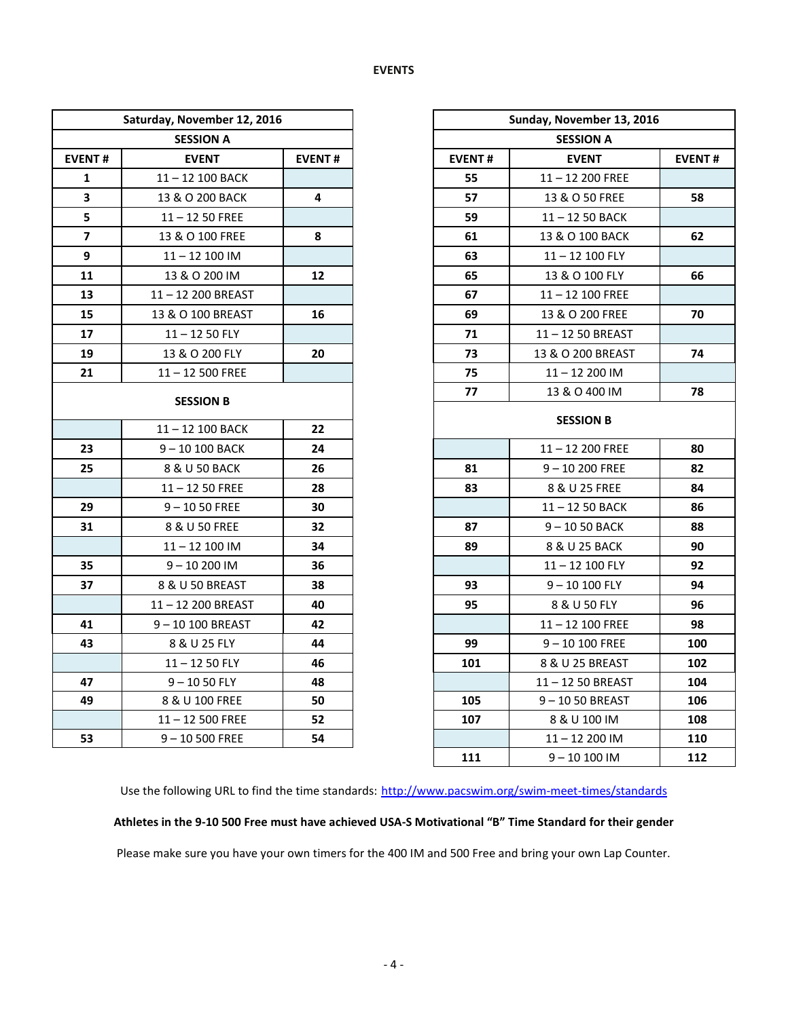| Saturday, November 12, 2016 |                   |               |               | Sunday, November 13, 2016 |  |  |  |
|-----------------------------|-------------------|---------------|---------------|---------------------------|--|--|--|
|                             | <b>SESSION A</b>  |               |               | <b>SESSION A</b>          |  |  |  |
| <b>EVENT#</b>               | <b>EVENT</b>      | <b>EVENT#</b> | <b>EVENT#</b> | <b>EVENT</b>              |  |  |  |
| 1                           | 11-12 100 BACK    |               | 55            | $11 - 12$ 200 FREE        |  |  |  |
| $\overline{\mathbf{3}}$     | 13 & O 200 BACK   | 4             | 57            | 13 & O 50 FREE            |  |  |  |
| 5                           | $11 - 1250$ FREE  |               | 59            | $11 - 1250$ BACK          |  |  |  |
| $\overline{\mathbf{z}}$     | 13 & O 100 FREE   | 8             | 61            | 13 & O 100 BACK           |  |  |  |
| 9                           | 11-12 100 IM      |               | 63            | 11-12 100 FLY             |  |  |  |
| 11                          | 13 & O 200 IM     | 12            | 65            | 13 & O 100 FLY            |  |  |  |
| 13                          | 11-12 200 BREAST  |               | 67            | 11-12 100 FREE            |  |  |  |
| 15                          | 13 & O 100 BREAST | 16            | 69            | 13 & O 200 FREE           |  |  |  |
| 17                          | $11 - 1250$ FLY   |               | 71            | 11-12 50 BREAST           |  |  |  |
| 19                          | 13 & O 200 FLY    | 20            | 73            | 13 & O 200 BREAST         |  |  |  |
| 21                          | $11 - 12500$ FREE |               | 75            | 11-12 200 IM              |  |  |  |
|                             |                   |               | 77            | 13 & O 400 IM             |  |  |  |
|                             | <b>SESSION B</b>  |               |               | <b>SESSION B</b>          |  |  |  |
|                             | 11-12 100 BACK    | 22            |               |                           |  |  |  |
| 23                          | 9-10 100 BACK     | 24            |               | 11-12 200 FREE            |  |  |  |
| 25                          | 8 & U 50 BACK     | 26            | 81            | $9 - 10200$ FREE          |  |  |  |
|                             | $11 - 1250$ FREE  | 28            | 83            | 8 & U 25 FREE             |  |  |  |
| 29                          | $9 - 1050$ FREE   | 30            |               | $11 - 1250$ BACK          |  |  |  |
| 31                          | 8 & U 50 FREE     | 32            | 87            | 9-1050 BACK               |  |  |  |
|                             | 11-12 100 IM      | 34            | 89            | 8 & U 25 BACK             |  |  |  |
| 35                          | $9 - 10200$ IM    | 36            |               | $11 - 12$ 100 FLY         |  |  |  |
| 37                          | 8 & U 50 BREAST   | 38            | 93            | $9 - 10100$ FLY           |  |  |  |
|                             | 11-12 200 BREAST  | 40            | 95            | 8 & U 50 FLY              |  |  |  |
| 41                          | 9-10 100 BREAST   | 42            |               | 11-12 100 FREE            |  |  |  |
| 43                          | 8 & U 25 FLY      | 44            | 99            | $9 - 10100$ FREE          |  |  |  |
|                             | $11 - 1250$ FLY   | 46            | 101           | 8 & U 25 BREAST           |  |  |  |
| 47                          | $9 - 1050$ FLY    | 48            |               | 11-12 50 BREAST           |  |  |  |
| 49                          | 8 & U 100 FREE    | 50            | 105           | $9 - 1050$ BREAST         |  |  |  |
|                             | $11 - 12500$ FREE | 52            | 107           | 8 & U 100 IM              |  |  |  |
| 53                          | $9 - 10500$ FREE  | 54            |               | $11 - 12200$ IM           |  |  |  |

|                         | Saturday, November 12, 2016 |               |               | Sunday, November 13, 2016 |               |  |
|-------------------------|-----------------------------|---------------|---------------|---------------------------|---------------|--|
|                         | <b>SESSION A</b>            |               |               | <b>SESSION A</b>          |               |  |
| ENT#                    | <b>EVENT</b>                | <b>EVENT#</b> | <b>EVENT#</b> | <b>EVENT</b>              | <b>EVENT#</b> |  |
| 1                       | 11-12 100 BACK              |               | 55            | $11 - 12$ 200 FREE        |               |  |
| $\mathbf{3}$            | 13 & O 200 BACK             | 4             | 57            | 13 & O 50 FREE            | 58            |  |
| ${\sf 5}$               | $11 - 1250$ FREE            |               | 59            | 11-12 50 BACK             |               |  |
| $\overline{\mathbf{z}}$ | 13 & O 100 FREE             | 8             | 61            | 13 & O 100 BACK           | 62            |  |
| 9                       | 11-12 100 IM                |               | 63            | 11-12 100 FLY             |               |  |
| 11                      | 13 & O 200 IM               | 12            | 65            | 13 & O 100 FLY            | 66            |  |
| 13                      | 11-12 200 BREAST            |               | 67            | 11-12 100 FREE            |               |  |
| 15                      | 13 & O 100 BREAST           | 16            | 69            | 13 & O 200 FREE           | 70            |  |
| 17                      | $11 - 1250$ FLY             |               | 71            | 11-12 50 BREAST           |               |  |
| 19                      | 13 & O 200 FLY              | 20            | 73            | 13 & O 200 BREAST         | 74            |  |
| 21                      | $11 - 12500$ FREE           |               | 75            | 11-12 200 IM              |               |  |
|                         |                             |               | 77            | 13 & O 400 IM             | 78            |  |
|                         | <b>SESSION B</b>            |               |               |                           |               |  |
|                         | $11 - 12$ 100 BACK          | 22            |               | <b>SESSION B</b>          |               |  |
| 23                      | $9 - 10100$ BACK            | 24            |               | 11-12 200 FREE            | 80            |  |
| 25                      | 8 & U 50 BACK               | 26            | 81            | $9 - 10200$ FREE          | 82            |  |
|                         | $11 - 1250$ FREE            | 28            | 83            | 8 & U 25 FREE             | 84            |  |
| 29                      | $9 - 1050$ FREE             | 30            |               | 11-12 50 BACK             | 86            |  |
| 31                      | 8 & U 50 FREE               | 32            | 87            | $9 - 1050$ BACK           | 88            |  |
|                         | 11-12 100 IM                | 34            | 89            | 8 & U 25 BACK             | 90            |  |
| 35                      | $9 - 10200$ IM              | 36            |               | 11-12 100 FLY             | 92            |  |
| 37                      | 8 & U 50 BREAST             | 38            | 93            | $9 - 10 100$ FLY          | 94            |  |
|                         | 11-12 200 BREAST            | 40            | 95            | 8 & U 50 FLY              | 96            |  |
| 41                      | 9-10 100 BREAST             | 42            |               | 11-12 100 FREE            | 98            |  |
| 43                      | 8 & U 25 FLY                | 44            | 99            | $9 - 10100$ FREE          | 100           |  |
|                         | $11 - 1250$ FLY             | 46            | 101           | 8 & U 25 BREAST           | 102           |  |
| 47                      | $9 - 1050$ FLY              | 48            |               | 11-12 50 BREAST           | 104           |  |
| 49                      | 8 & U 100 FREE              | 50            | 105           | 9-1050 BREAST             | 106           |  |
|                         | $11 - 12500$ FREE           | 52            | 107           | 8 & U 100 IM              | 108           |  |
| 53                      | $9 - 10 500$ FREE           | 54            |               | 11-12 200 IM              | 110           |  |
|                         |                             |               | 111           | 9-10 100 IM               | 112           |  |

Use the following URL to find the time standards: <http://www.pacswim.org/swim-meet-times/standards>

# **Athletes in the 9-10 500 Free must have achieved USA-S Motivational "B" Time Standard for their gender**

Please make sure you have your own timers for the 400 IM and 500 Free and bring your own Lap Counter.